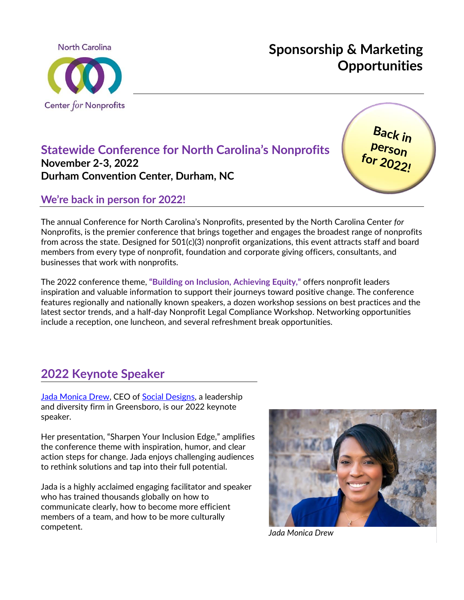

# **Sponsorship & Marketing Opportunities**

# **Statewide Conference for North Carolina's Nonprofits November 2-3, 2022 Durham Convention Center, Durham, NC**

Back in pack in<br>person<br>for 2022!

# **We're back in person for 2022!**

The annual Conference for North Carolina's Nonprofits, presented by the North Carolina Center *for* Nonprofits, is the premier conference that brings together and engages the broadest range of nonprofits from across the state. Designed for 501(c)(3) nonprofit organizations, this event attracts staff and board members from every type of nonprofit, foundation and corporate giving officers, consultants, and businesses that work with nonprofits.

The 2022 conference theme, **"Building on Inclusion, Achieving Equity,"** offers nonprofit leaders inspiration and valuable information to support their journeys toward positive change. The conference features regionally and nationally known speakers, a dozen workshop sessions on best practices and the latest sector trends, and a half-day Nonprofit Legal Compliance Workshop. Networking opportunities include a reception, one luncheon, and several refreshment break opportunities.

# **2022 Keynote Speaker**

[Jada Monica Drew,](http://jadamonicadrew.com/) CEO of [Social Designs,](https://www.socialdesignsconsulting.com/) a leadership and diversity firm in Greensboro, is our 2022 keynote speaker.

Her presentation, "Sharpen Your Inclusion Edge," amplifies the conference theme with inspiration, humor, and clear action steps for change. Jada enjoys challenging audiences to rethink solutions and tap into their full potential.

Jada is a highly acclaimed engaging facilitator and speaker who has trained thousands globally on how to communicate clearly, how to become more efficient members of a team, and how to be more culturally competent. *Jada Monica Drew*

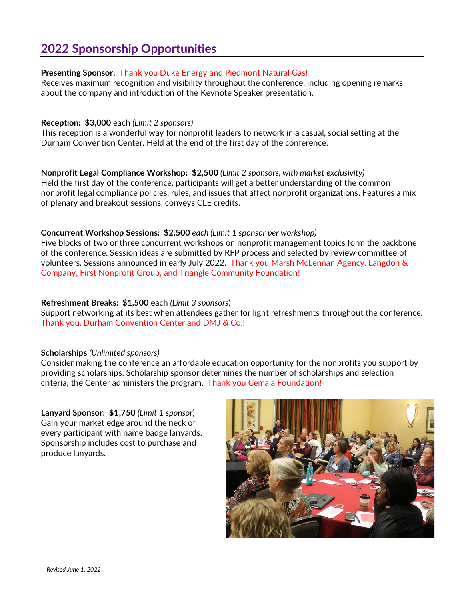# **2022 Sponsorship Opportunities**

## **Presenting Sponsor:** Thank you Duke Energy and Piedmont Natural Gas!

Receives maximum recognition and visibility throughout the conference, including opening remarks about the company and introduction of the Keynote Speaker presentation.

#### **Reception: \$3,000** each *(Limit 2 sponsors)*

This reception is a wonderful way for nonprofit leaders to network in a casual, social setting at the Durham Convention Center. Held at the end of the first day of the conference.

**Nonprofit Legal Compliance Workshop: \$2,500** *(Limit 2 sponsors, with market exclusivity)* Held the first day of the conference, participants will get a better understanding of the common nonprofit legal compliance policies, rules, and issues that affect nonprofit organizations. Features a mix of plenary and breakout sessions, conveys CLE credits.

## **Concurrent Workshop Sessions: \$2,500** *each (Limit 1 sponsor per workshop)*

Five blocks of two or three concurrent workshops on nonprofit management topics form the backbone of the conference. Session ideas are submitted by RFP process and selected by review committee of volunteers. Sessions announced in early July 2022. Thank you Marsh McLennan Agency, Langdon & Company, First Nonprofit Group, and Triangle Community Foundation!

## **Refreshment Breaks: \$1,500** each *(Limit 3 sponsors*)

Support networking at its best when attendees gather for light refreshments throughout the conference. Thank you, Durham Convention Center and DMJ & Co.!

#### **Scholarships** *(Unlimited sponsors)*

Consider making the conference an affordable education opportunity for the nonprofits you support by providing scholarships. Scholarship sponsor determines the number of scholarships and selection criteria; the Center administers the program. Thank you Cemala Foundation!

**Lanyard Sponsor: \$1,750** *(Limit 1 sponsor*) Gain your market edge around the neck of every participant with name badge lanyards. Sponsorship includes cost to purchase and produce lanyards.

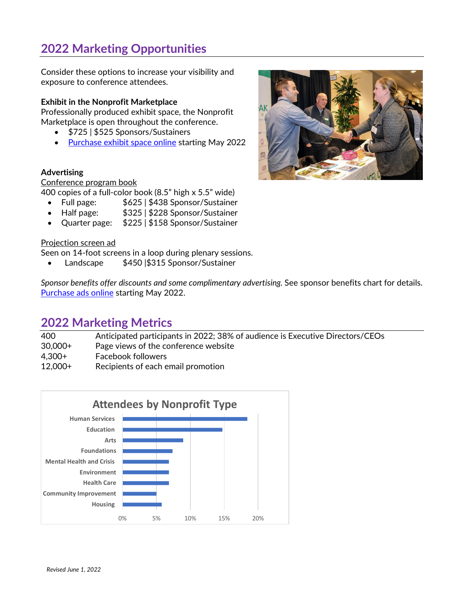# **2022 Marketing Opportunities**

Consider these options to increase your visibility and exposure to conference attendees.

## **Exhibit in the Nonprofit Marketplace**

Professionally produced exhibit space, the Nonprofit Marketplace is open throughout the conference.

- \$725 | \$525 Sponsors/Sustainers
- [Purchase exhibit space online](https://www.ncnonprofits.org/conf-exh) starting May 2022

#### **Advertising**

#### Conference program book

400 copies of a full-color book (8.5" high x 5.5" wide)

- Full page:  $$625 | $438$  Sponsor/Sustainer
- Half page: \$325 | \$228 Sponsor/Sustainer
- Quarter page: \$225 | \$158 Sponsor/Sustainer

#### Projection screen ad

Seen on 14-foot screens in a loop during plenary sessions.

• Landscape \$450 |\$315 Sponsor/Sustainer

*Sponsor benefits offer discounts and some complimentary advertising.* See sponsor benefits chart for details. [Purchase ads online](https://www.ncnonprofits.org/conf-ad) starting May 2022.

## **2022 Marketing Metrics**

| 400.      | Anticipated participants in 2022; 38% of audience is Executive Directors/CEOs |
|-----------|-------------------------------------------------------------------------------|
| 30,000+   | Page views of the conference website                                          |
| 4.300+    | <b>Facebook followers</b>                                                     |
| $12,000+$ | Recipients of each email promotion                                            |



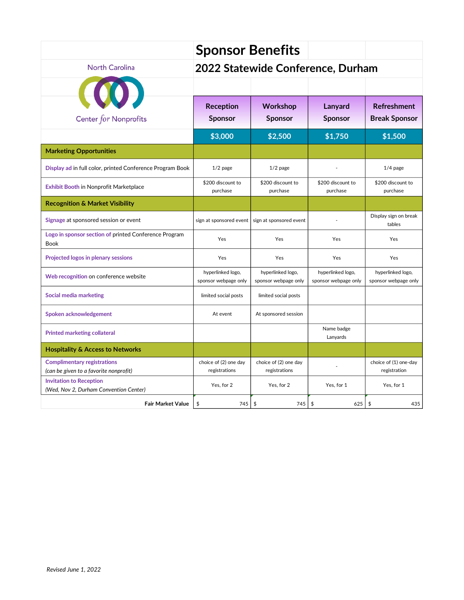|                                                                              | <b>Sponsor Benefits</b>                   |                                           |                                           |                                            |
|------------------------------------------------------------------------------|-------------------------------------------|-------------------------------------------|-------------------------------------------|--------------------------------------------|
| North Carolina                                                               | 2022 Statewide Conference, Durham         |                                           |                                           |                                            |
|                                                                              |                                           |                                           |                                           |                                            |
| Center for Nonprofits                                                        | <b>Reception</b><br><b>Sponsor</b>        | <b>Workshop</b><br><b>Sponsor</b>         | Lanyard<br><b>Sponsor</b>                 | <b>Refreshment</b><br><b>Break Sponsor</b> |
|                                                                              | \$3,000                                   | \$2,500                                   | \$1,750                                   | \$1,500                                    |
| <b>Marketing Opportunities</b>                                               |                                           |                                           |                                           |                                            |
| Display ad in full color, printed Conference Program Book                    | $1/2$ page                                | $1/2$ page                                |                                           | $1/4$ page                                 |
| <b>Exhibit Booth in Nonprofit Marketplace</b>                                | \$200 discount to<br>purchase             | \$200 discount to<br>purchase             | \$200 discount to<br>purchase             | \$200 discount to<br>purchase              |
| <b>Recognition &amp; Market Visibility</b>                                   |                                           |                                           |                                           |                                            |
| Signage at sponsored session or event                                        | sign at sponsored event                   | sign at sponsored event                   |                                           | Display sign on break<br>tables            |
| Logo in sponsor section of printed Conference Program<br>Book                | Yes                                       | Yes                                       | Yes                                       | Yes                                        |
| Projected logos in plenary sessions                                          | Yes                                       | Yes                                       | Yes                                       | Yes                                        |
| Web recognition on conference website                                        | hyperlinked logo,<br>sponsor webpage only | hyperlinked logo,<br>sponsor webpage only | hyperlinked logo,<br>sponsor webpage only | hyperlinked logo,<br>sponsor webpage only  |
| <b>Social media marketing</b>                                                | limited social posts                      | limited social posts                      |                                           |                                            |
| Spoken acknowledgement                                                       | At event                                  | At sponsored session                      |                                           |                                            |
| <b>Printed marketing collateral</b>                                          |                                           |                                           | Name badge<br>Lanyards                    |                                            |
| <b>Hospitality &amp; Access to Networks</b>                                  |                                           |                                           |                                           |                                            |
| <b>Complimentary registrations</b><br>(can be given to a favorite nonprofit) | choice of (2) one day<br>registrations    | choice of (2) one day<br>registrations    |                                           | choice of (1) one-day<br>registration      |
| <b>Invitation to Reception</b><br>(Wed, Nov 2, Durham Convention Center)     | Yes, for 2                                | Yes, for 2                                | Yes, for 1                                | Yes, for 1                                 |
| <b>Fair Market Value</b>                                                     | \$<br>745                                 | $\frac{1}{2}$<br>745                      | \$<br>625                                 | $\frac{4}{5}$<br>435                       |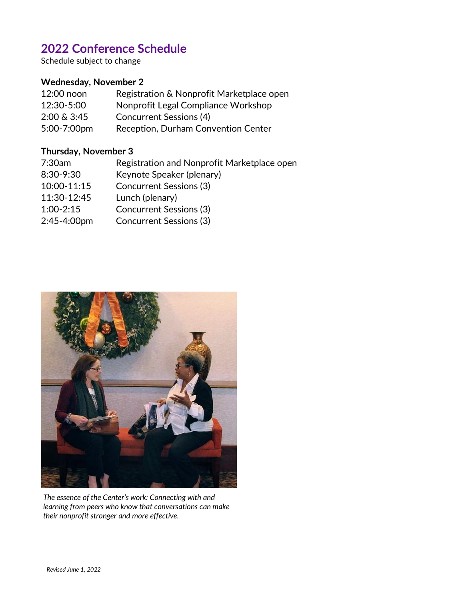# **2022 Conference Schedule**

Schedule subject to change

## **Wednesday, November 2**

| 12:00 noon  | Registration & Nonprofit Marketplace open |
|-------------|-------------------------------------------|
| 12:30-5:00  | Nonprofit Legal Compliance Workshop       |
| 2:00 & 3:45 | Concurrent Sessions (4)                   |
| 5:00-7:00pm | Reception, Durham Convention Center       |

## **Thursday, November 3**

| 7:30am        | Registration and Nonprofit Marketplace open |
|---------------|---------------------------------------------|
| 8:30-9:30     | Keynote Speaker (plenary)                   |
| 10:00-11:15   | <b>Concurrent Sessions (3)</b>              |
| 11:30-12:45   | Lunch (plenary)                             |
| $1:00 - 2:15$ | <b>Concurrent Sessions (3)</b>              |
| 2:45-4:00pm   | <b>Concurrent Sessions (3)</b>              |
|               |                                             |



*The essence of the Center's work: Connecting with and learning from peers who know that conversations can make their nonprofit stronger and more effective.*